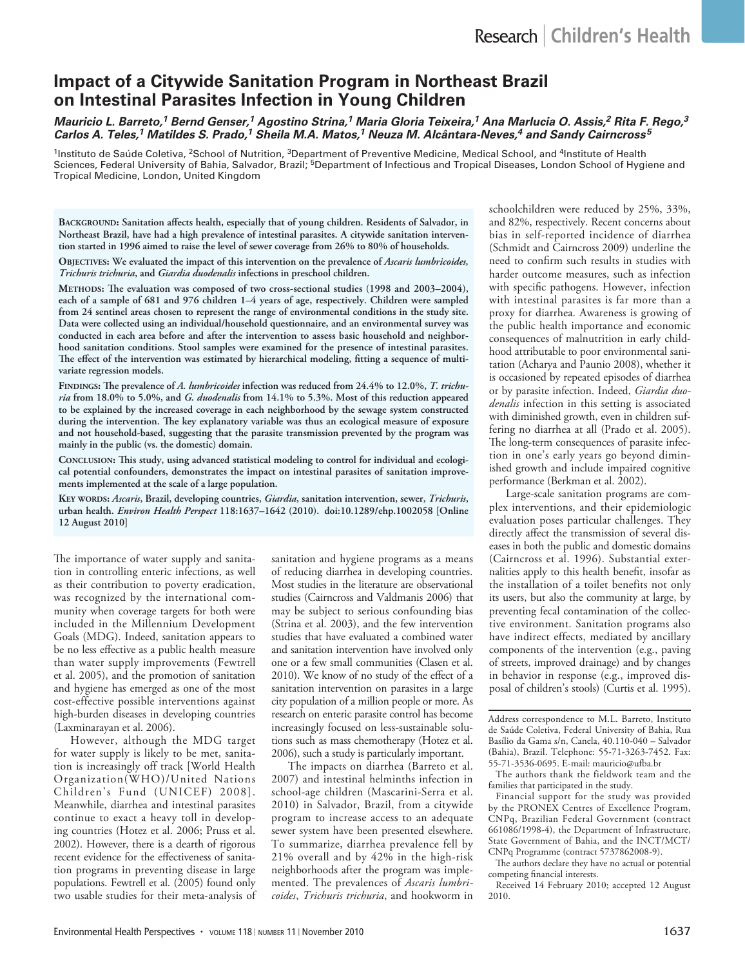# **Impact of a Citywide Sanitation Program in Northeast Brazil on Intestinal Parasites Infection in Young Children**

*Mauricio L. Barreto,1 Bernd Genser,1 Agostino Strina,1 Maria Gloria Teixeira,1 Ana Marlucia O. Assis,2 Rita F. Rego,3 Carlos A. Teles,1 Matildes S. Prado,1 Sheila M.A. Matos,1 Neuza M. Alcântara-Neves,4 and Sandy Cairncross<sup>5</sup>*

<sup>1</sup>Instituto de Saúde Coletiva, <sup>2</sup>School of Nutrition, <sup>3</sup>Department of Preventive Medicine, Medical School, and <sup>4</sup>Institute of Health Sciences, Federal University of Bahia, Salvador, Brazil; <sup>5</sup>Department of Infectious and Tropical Diseases, London School of Hygiene and Tropical Medicine, London, United Kingdom

**Background: Sanitation affects health, especially that of young children. Residents of Salvador, in Northeast Brazil, have had a high prevalence of intestinal parasites. A citywide sanitation intervention started in 1996 aimed to raise the level of sewer coverage from 26% to 80% of households.** 

**Objectives: We evaluated the impact of this intervention on the prevalence of** *Ascaris lumbricoides, Trichuris trichuria***, and** *Giardia duodenalis* **infections in preschool children.**

**Methods: The evaluation was composed of two cross-sectional studies (1998 and 2003–2004), each of a sample of 681 and 976 children 1–4 years of age, respectively. Children were sampled from 24 sentinel areas chosen to represent the range of environmental conditions in the study site. Data were collected using an individual/household questionnaire, and an environmental survey was conducted in each area before and after the intervention to assess basic household and neighborhood sanitation conditions. Stool samples were examined for the presence of intestinal parasites. The effect of the intervention was estimated by hierarchical modeling, fitting a sequence of multivariate regression models.**

**Findings: The prevalence of** *A. lumbricoides* **infection was reduced from 24.4% to 12.0%,** *T. trichuria* **from 18.0% to 5.0%, and** *G. duodenalis* **from 14.1% to 5.3%. Most of this reduction appeared to be explained by the increased coverage in each neighborhood by the sewage system constructed during the intervention. The key explanatory variable was thus an ecological measure of exposure and not household-based, suggesting that the parasite transmission prevented by the program was mainly in the public (vs. the domestic) domain.**

**Conclusion: This study, using advanced statistical modeling to control for individual and ecological potential confounders, demonstrates the impact on intestinal parasites of sanitation improvements implemented at the scale of a large population.**

**Key words:** *Ascaris***, Brazil, developing countries,** *Giardia***, sanitation intervention, sewer,** *Trichuris***, urban health.** *Environ Health Perspect* **118:1637–1642 (2010). doi:10.1289/ehp.1002058 [Online 12 August 2010]**

The importance of water supply and sanitation in controlling enteric infections, as well as their contribution to poverty eradication, was recognized by the international community when coverage targets for both were included in the Millennium Development Goals (MDG). Indeed, sanitation appears to be no less effective as a public health measure than water supply improvements (Fewtrell et al. 2005), and the promotion of sanitation and hygiene has emerged as one of the most cost-effective possible interventions against high-burden diseases in developing countries (Laxminarayan et al. 2006).

However, although the MDG target for water supply is likely to be met, sanitation is increasingly off track [World Health Organization(WHO)/United Nations Children's Fund (UNICEF) 2008]. Meanwhile, diarrhea and intestinal parasites continue to exact a heavy toll in developing countries (Hotez et al. 2006; Pruss et al. 2002). However, there is a dearth of rigorous recent evidence for the effectiveness of sanitation programs in preventing disease in large populations. Fewtrell et al. (2005) found only two usable studies for their meta-analysis of sanitation and hygiene programs as a means of reducing diarrhea in developing countries. Most studies in the literature are observational studies (Cairncross and Valdmanis 2006) that may be subject to serious confounding bias (Strina et al. 2003), and the few intervention studies that have evaluated a combined water and sanitation intervention have involved only one or a few small communities (Clasen et al. 2010). We know of no study of the effect of a sanitation intervention on parasites in a large city population of a million people or more. As research on enteric parasite control has become increasingly focused on less-sustainable solutions such as mass chemotherapy (Hotez et al. 2006), such a study is particularly important.

The impacts on diarrhea (Barreto et al. 2007) and intestinal helminths infection in school-age children (Mascarini-Serra et al. 2010) in Salvador, Brazil, from a citywide program to increase access to an adequate sewer system have been presented elsewhere. To summarize, diarrhea prevalence fell by 21% overall and by 42% in the high-risk neighborhoods after the program was implemented. The prevalences of *Ascaris lumbricoides*, *Trichuris trichuria*, and hookworm in schoolchildren were reduced by 25%, 33%, and 82%, respectively. Recent concerns about bias in self-reported incidence of diarrhea (Schmidt and Cairncross 2009) underline the need to confirm such results in studies with harder outcome measures, such as infection with specific pathogens. However, infection with intestinal parasites is far more than a proxy for diarrhea. Awareness is growing of the public health importance and economic consequences of malnutrition in early childhood attributable to poor environmental sanitation (Acharya and Paunio 2008), whether it is occasioned by repeated episodes of diarrhea or by parasite infection. Indeed, *Giardia duodenalis* infection in this setting is associated with diminished growth, even in children suffering no diarrhea at all (Prado et al. 2005). The long-term consequences of parasite infection in one's early years go beyond diminished growth and include impaired cognitive performance (Berkman et al. 2002).

Large-scale sanitation programs are complex interventions, and their epidemiologic evaluation poses particular challenges. They directly affect the transmission of several diseases in both the public and domestic domains (Cairncross et al. 1996). Substantial externalities apply to this health benefit, insofar as the installation of a toilet benefits not only its users, but also the community at large, by preventing fecal contamination of the collective environment. Sanitation programs also have indirect effects, mediated by ancillary components of the intervention (e.g., paving of streets, improved drainage) and by changes in behavior in response (e.g., improved disposal of children's stools) (Curtis et al. 1995).

Address correspondence to M.L. Barreto, Instituto de Saúde Coletiva, Federal University of Bahia, Rua Basílio da Gama s/n, Canela, 40.110-040 – Salvador (Bahia), Brazil. Telephone: 55-71-3263-7452. Fax: 55-71-3536-0695. E-mail: mauricio@ufba.br

The authors thank the fieldwork team and the families that participated in the study.

Financial support for the study was provided by the PRONEX Centres of Excellence Program, CNPq, Brazilian Federal Government (contract 661086/1998-4), the Department of Infrastructure, State Government of Bahia, and the INCT/MCT/ CNPq Programme (contract 5737862008-9).

The authors declare they have no actual or potential competing financial interests.

Received 14 February 2010; accepted 12 August 2010.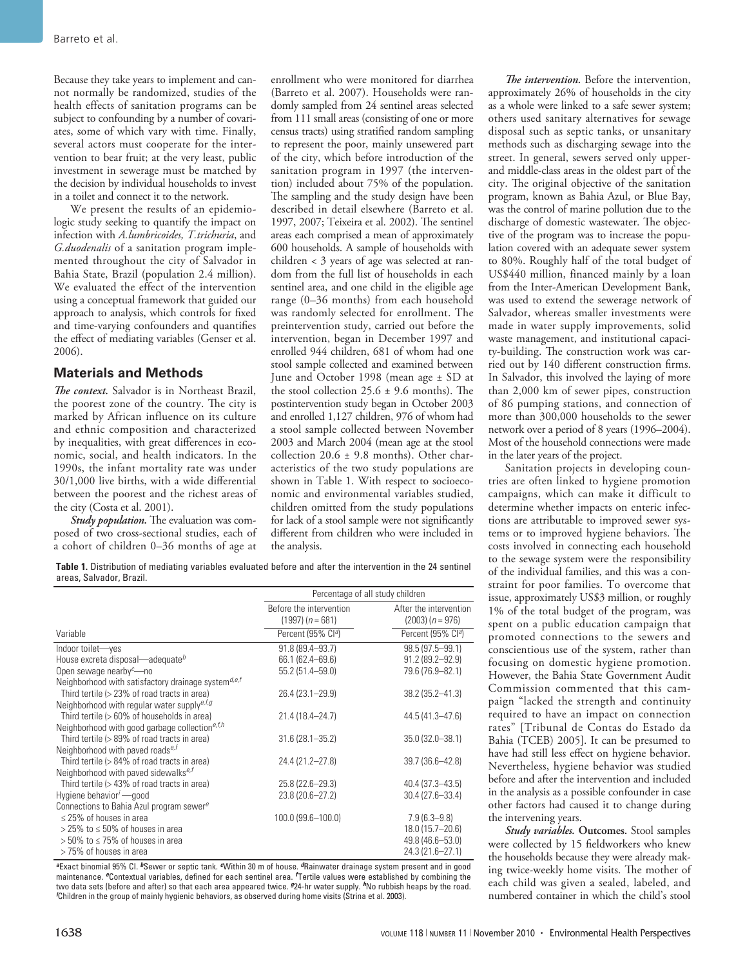Because they take years to implement and cannot normally be randomized, studies of the health effects of sanitation programs can be subject to confounding by a number of covariates, some of which vary with time. Finally, several actors must cooperate for the intervention to bear fruit; at the very least, public investment in sewerage must be matched by the decision by individual households to invest in a toilet and connect it to the network.

We present the results of an epidemiologic study seeking to quantify the impact on infection with *A.lumbricoides, T.trichuria*, and *G.duodenalis* of a sanitation program implemented throughout the city of Salvador in Bahia State, Brazil (population 2.4 million). We evaluated the effect of the intervention using a conceptual framework that guided our approach to analysis, which controls for fixed and time-varying confounders and quantifies the effect of mediating variables (Genser et al. 2006).

# **Materials and Methods**

*The context.* Salvador is in Northeast Brazil, the poorest zone of the country. The city is marked by African influence on its culture and ethnic composition and characterized by inequalities, with great differences in economic, social, and health indicators. In the 1990s, the infant mortality rate was under 30/1,000 live births, with a wide differential between the poorest and the richest areas of the city (Costa et al. 2001).

*Study population.* The evaluation was composed of two cross-sectional studies, each of a cohort of children 0–36 months of age at enrollment who were monitored for diarrhea (Barreto et al. 2007). Households were randomly sampled from 24 sentinel areas selected from 111 small areas (consisting of one or more census tracts) using stratified random sampling to represent the poor, mainly unsewered part of the city, which before introduction of the sanitation program in 1997 (the intervention) included about 75% of the population. The sampling and the study design have been described in detail elsewhere (Barreto et al. 1997, 2007; Teixeira et al. 2002). The sentinel areas each comprised a mean of approximately 600 households. A sample of households with children < 3 years of age was selected at random from the full list of households in each sentinel area, and one child in the eligible age range (0–36 months) from each household was randomly selected for enrollment. The preintervention study, carried out before the intervention, began in December 1997 and enrolled 944 children, 681 of whom had one stool sample collected and examined between June and October 1998 (mean age ± SD at the stool collection  $25.6 \pm 9.6$  months). The postintervention study began in October 2003 and enrolled 1,127 children, 976 of whom had a stool sample collected between November 2003 and March 2004 (mean age at the stool collection 20.6  $\pm$  9.8 months). Other characteristics of the two study populations are shown in Table 1. With respect to socioeconomic and environmental variables studied, children omitted from the study populations for lack of a stool sample were not significantly different from children who were included in the analysis.

**Table 1.** Distribution of mediating variables evaluated before and after the intervention in the 24 sentinel areas, Salvador, Brazil.

|                                                                         | Percentage of all study children              |                                              |  |  |
|-------------------------------------------------------------------------|-----------------------------------------------|----------------------------------------------|--|--|
|                                                                         | Before the intervention<br>$(1997) (n = 681)$ | After the intervention<br>$(2003) (n = 976)$ |  |  |
| Variable                                                                | Percent (95% Cl <sup>a</sup> )                | Percent (95% Cl <sup>a</sup> )               |  |  |
| Indoor toilet-yes                                                       | $91.8(89.4 - 93.7)$                           | 98.5 (97.5-99.1)                             |  |  |
| House excreta disposal—adequate <sup>b</sup>                            | 66.1 (62.4 - 69.6)                            | $91.2 (89.2 - 92.9)$                         |  |  |
| Open sewage nearby $c$ —no                                              | 55.2 (51.4-59.0)                              | 79.6 (76.9-82.1)                             |  |  |
| Neighborhood with satisfactory drainage system $d,e,f$                  |                                               |                                              |  |  |
| Third tertile (> 23% of road tracts in area)                            | $26.4(23.1 - 29.9)$                           | 38.2 (35.2-41.3)                             |  |  |
| Neighborhood with regular water supply <sup>e, f, g</sup>               |                                               |                                              |  |  |
| Third tertile $(>60\%$ of households in area)                           | 21.4 (18.4–24.7)                              | 44.5 (41.3–47.6)                             |  |  |
| Neighborhood with good garbage collection <sup>e,<math>f,h</math></sup> |                                               |                                              |  |  |
| Third tertile (> 89% of road tracts in area)                            | $31.6(28.1 - 35.2)$                           | 35.0 (32.0-38.1)                             |  |  |
| Neighborhood with paved roads $e, f$                                    |                                               |                                              |  |  |
| Third tertile (> 84% of road tracts in area)                            | 24.4 (21.2-27.8)                              | 39.7 (36.6-42.8)                             |  |  |
| Neighborhood with paved sidewalks <sup>e, f</sup>                       |                                               |                                              |  |  |
| Third tertile (> 43% of road tracts in area)                            | $25.8(22.6 - 29.3)$                           | 40.4 (37.3-43.5)                             |  |  |
| Hygiene behavior <sup>i</sup> — good                                    | 23.8 (20.6-27.2)                              | $30.4(27.6 - 33.4)$                          |  |  |
| Connections to Bahia Azul program sewere                                |                                               |                                              |  |  |
| $\leq$ 25% of houses in area                                            | 100.0 (99.6-100.0)                            | $7.9(6.3 - 9.8)$                             |  |  |
| $>$ 25% to $\leq$ 50% of houses in area                                 |                                               | 18.0 (15.7-20.6)                             |  |  |
| $>$ 50% to $\leq$ 75% of houses in area                                 |                                               | 49.8 (46.6-53.0)                             |  |  |
| >75% of houses in area                                                  |                                               | 24.3 (21.6-27.1)                             |  |  |

*<sup>a</sup>*Exact binomial 95% CI. *b*Sewer or septic tank. *c*Within 30 m of house. *d*Rainwater drainage system present and in good maintenance. *e*Contextual variables, defined for each sentinel area. *<sup>f</sup>* Tertile values were established by combining the two data sets (before and after) so that each area appeared twice. *924*-hr water supply. *I*No rubbish heaps by the road. *i* Children in the group of mainly hygienic behaviors, as observed during home visits (Strina et al. 2003).

*The intervention.* Before the intervention, approximately 26% of households in the city as a whole were linked to a safe sewer system; others used sanitary alternatives for sewage disposal such as septic tanks, or unsanitary methods such as discharging sewage into the street. In general, sewers served only upperand middle-class areas in the oldest part of the city. The original objective of the sanitation program, known as Bahia Azul, or Blue Bay, was the control of marine pollution due to the discharge of domestic wastewater. The objective of the program was to increase the population covered with an adequate sewer system to 80%. Roughly half of the total budget of US\$440 million, financed mainly by a loan from the Inter-American Development Bank, was used to extend the sewerage network of Salvador, whereas smaller investments were made in water supply improvements, solid waste management, and institutional capacity-building. The construction work was carried out by 140 different construction firms. In Salvador, this involved the laying of more than 2,000 km of sewer pipes, construction of 86 pumping stations, and connection of more than 300,000 households to the sewer network over a period of 8 years (1996–2004). Most of the household connections were made in the later years of the project.

Sanitation projects in developing countries are often linked to hygiene promotion campaigns, which can make it difficult to determine whether impacts on enteric infections are attributable to improved sewer systems or to improved hygiene behaviors. The costs involved in connecting each household to the sewage system were the responsibility of the individual families, and this was a constraint for poor families. To overcome that issue, approximately US\$3 million, or roughly 1% of the total budget of the program, was spent on a public education campaign that promoted connections to the sewers and conscientious use of the system, rather than focusing on domestic hygiene promotion. However, the Bahia State Government Audit Commission commented that this campaign "lacked the strength and continuity required to have an impact on connection rates" [Tribunal de Contas do Estado da Bahia (TCEB) 2005]. It can be presumed to have had still less effect on hygiene behavior. Nevertheless, hygiene behavior was studied before and after the intervention and included in the analysis as a possible confounder in case other factors had caused it to change during the intervening years.

*Study variables.* **Outcomes.** Stool samples were collected by 15 fieldworkers who knew the households because they were already making twice-weekly home visits. The mother of each child was given a sealed, labeled, and numbered container in which the child's stool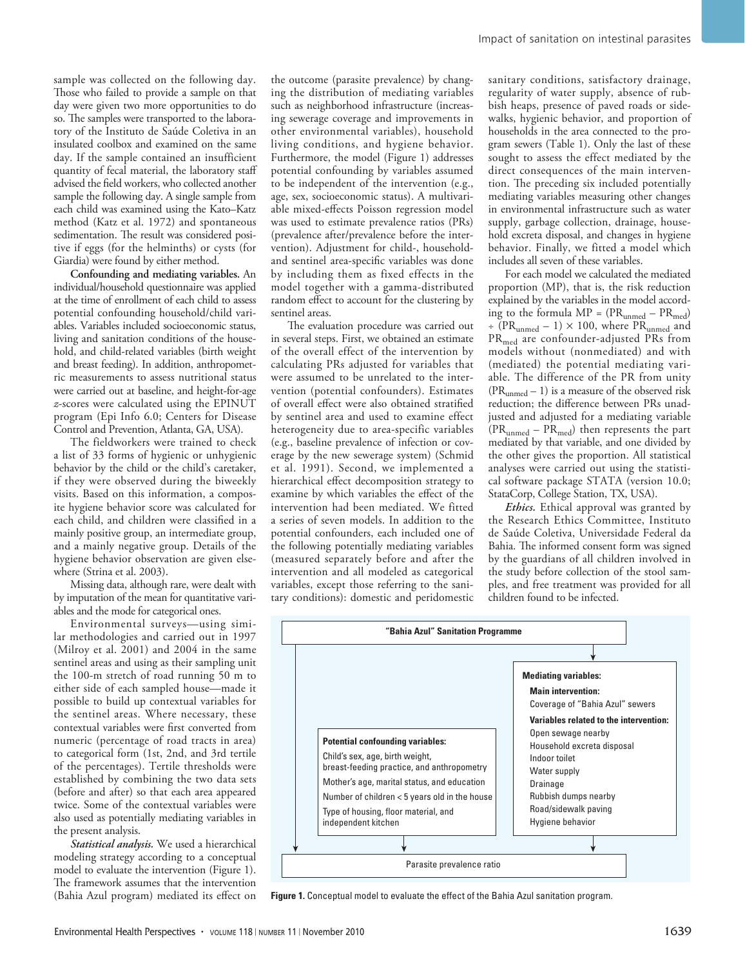sample was collected on the following day. Those who failed to provide a sample on that day were given two more opportunities to do so. The samples were transported to the laboratory of the Instituto de Saúde Coletiva in an insulated coolbox and examined on the same day. If the sample contained an insufficient quantity of fecal material, the laboratory staff advised the field workers, who collected another sample the following day. A single sample from each child was examined using the Kato–Katz method (Katz et al. 1972) and spontaneous sedimentation. The result was considered positive if eggs (for the helminths) or cysts (for Giardia) were found by either method.

**Confounding and mediating variables.** An individual/household questionnaire was applied at the time of enrollment of each child to assess potential confounding household/child variables. Variables included socioeconomic status, living and sanitation conditions of the household, and child-related variables (birth weight and breast feeding). In addition, anthropometric measurements to assess nutritional status were carried out at baseline, and height-for-age *z*-scores were calculated using the EPINUT program (Epi Info 6.0; Centers for Disease Control and Prevention, Atlanta, GA, USA).

The fieldworkers were trained to check a list of 33 forms of hygienic or unhygienic behavior by the child or the child's caretaker, if they were observed during the biweekly visits. Based on this information, a composite hygiene behavior score was calculated for each child, and children were classified in a mainly positive group, an intermediate group, and a mainly negative group. Details of the hygiene behavior observation are given elsewhere (Strina et al. 2003).

Missing data, although rare, were dealt with by imputation of the mean for quantitative variables and the mode for categorical ones.

Environmental surveys—using similar methodologies and carried out in 1997 (Milroy et al. 2001) and 2004 in the same sentinel areas and using as their sampling unit the 100-m stretch of road running 50 m to either side of each sampled house—made it possible to build up contextual variables for the sentinel areas. Where necessary, these contextual variables were first converted from numeric (percentage of road tracts in area) to categorical form (1st, 2nd, and 3rd tertile of the percentages). Tertile thresholds were established by combining the two data sets (before and after) so that each area appeared twice. Some of the contextual variables were also used as potentially mediating variables in the present analysis.

*Statistical analysis.* We used a hierarchical modeling strategy according to a conceptual model to evaluate the intervention (Figure 1). The framework assumes that the intervention (Bahia Azul program) mediated its effect on the outcome (parasite prevalence) by changing the distribution of mediating variables such as neighborhood infrastructure (increasing sewerage coverage and improvements in other environmental variables), household living conditions, and hygiene behavior. Furthermore, the model (Figure 1) addresses potential confounding by variables assumed to be independent of the intervention (e.g., age, sex, socioeconomic status). A multivariable mixed-effects Poisson regression model was used to estimate prevalence ratios (PRs) (prevalence after/prevalence before the intervention). Adjustment for child-, householdand sentinel area-specific variables was done by including them as fixed effects in the model together with a gamma-distributed random effect to account for the clustering by sentinel areas.

The evaluation procedure was carried out in several steps. First, we obtained an estimate of the overall effect of the intervention by calculating PRs adjusted for variables that were assumed to be unrelated to the intervention (potential confounders). Estimates of overall effect were also obtained stratified by sentinel area and used to examine effect heterogeneity due to area-specific variables (e.g., baseline prevalence of infection or coverage by the new sewerage system) (Schmid et al. 1991). Second, we implemented a hierarchical effect decomposition strategy to examine by which variables the effect of the intervention had been mediated. We fitted a series of seven models. In addition to the potential confounders, each included one of the following potentially mediating variables (measured separately before and after the intervention and all modeled as categorical variables, except those referring to the sanitary conditions): domestic and peridomestic

sanitary conditions, satisfactory drainage, regularity of water supply, absence of rubbish heaps, presence of paved roads or sidewalks, hygienic behavior, and proportion of households in the area connected to the program sewers (Table 1). Only the last of these sought to assess the effect mediated by the direct consequences of the main intervention. The preceding six included potentially mediating variables measuring other changes in environmental infrastructure such as water supply, garbage collection, drainage, household excreta disposal, and changes in hygiene behavior. Finally, we fitted a model which includes all seven of these variables.

For each model we calculated the mediated proportion (MP), that is, the risk reduction explained by the variables in the model according to the formula  $MP = (PR_{unmed} - PR_{med})$  $\div$  (PR<sub>unmed</sub> – 1)  $\times$  100, where PR<sub>unmed</sub> and PR<sub>med</sub> are confounder-adjusted PRs from models without (nonmediated) and with (mediated) the potential mediating variable. The difference of the PR from unity  $(PR_{unmed} - 1)$  is a measure of the observed risk reduction; the difference between PRs unadjusted and adjusted for a mediating variable  $(PR_{unmed} - PR_{med})$  then represents the part mediated by that variable, and one divided by the other gives the proportion. All statistical analyses were carried out using the statistical software package STATA (version 10.0; StataCorp, College Station, TX, USA).

*Ethics.* Ethical approval was granted by the Research Ethics Committee, Instituto de Saúde Coletiva, Universidade Federal da Bahia. The informed consent form was signed by the guardians of all children involved in the study before collection of the stool samples, and free treatment was provided for all children found to be infected.



**Figure 1.** Conceptual model to evaluate the effect of the Bahia Azul sanitation program*.*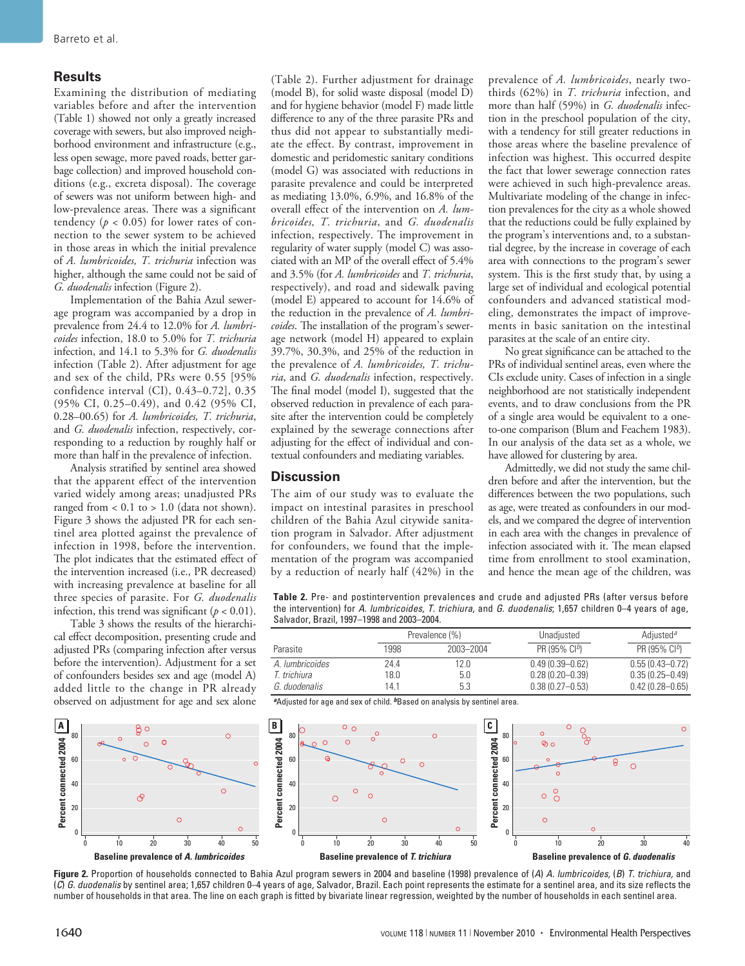### **Results**

Examining the distribution of mediating variables before and after the intervention (Table 1) showed not only a greatly increased coverage with sewers, but also improved neighborhood environment and infrastructure (e.g., less open sewage, more paved roads, better garbage collection) and improved household conditions (e.g., excreta disposal). The coverage of sewers was not uniform between high- and low-prevalence areas. There was a significant tendency ( $p < 0.05$ ) for lower rates of connection to the sewer system to be achieved in those areas in which the initial prevalence of *A. lumbricoides, T. trichuria* infection was higher, although the same could not be said of *G. duodenalis* infection (Figure 2).

Implementation of the Bahia Azul sewerage program was accompanied by a drop in prevalence from 24.4 to 12.0% for *A. lumbricoides* infection, 18.0 to 5.0% for *T. trichuria* infection, and 14.1 to 5.3% for *G. duodenalis* infection (Table 2). After adjustment for age and sex of the child, PRs were 0.55 [95% confidence interval (CI), 0.43–0.72], 0.35 (95% CI, 0.25–0.49), and 0.42 (95% CI, 0.28–00.65) for *A. lumbricoides, T. trichuria*, and *G. duodenalis* infection, respectively, corresponding to a reduction by roughly half or more than half in the prevalence of infection.

Analysis stratified by sentinel area showed that the apparent effect of the intervention varied widely among areas; unadjusted PRs ranged from < 0.1 to > 1.0 (data not shown). Figure 3 shows the adjusted PR for each sentinel area plotted against the prevalence of infection in 1998, before the intervention. The plot indicates that the estimated effect of the intervention increased (i.e., PR decreased) with increasing prevalence at baseline for all three species of parasite. For *G. duodenalis* infection, this trend was significant  $(p < 0.01)$ .

Table 3 shows the results of the hierarchical effect decomposition, presenting crude and adjusted PRs (comparing infection after versus before the intervention). Adjustment for a set of confounders besides sex and age (model A) added little to the change in PR already observed on adjustment for age and sex alone (Table 2). Further adjustment for drainage (model B), for solid waste disposal (model D) and for hygiene behavior (model F) made little difference to any of the three parasite PRs and thus did not appear to substantially mediate the effect. By contrast, improvement in domestic and peridomestic sanitary conditions (model G) was associated with reductions in parasite prevalence and could be interpreted as mediating 13.0%, 6.9%, and 16.8% of the overall effect of the intervention on *A. lumbricoides, T. trichuria*, and *G. duodenalis* infection, respectively. The improvement in regularity of water supply (model C) was associated with an MP of the overall effect of 5.4% and 3.5% (for *A. lumbricoides* and *T. trichuria*, respectively), and road and sidewalk paving (model E) appeared to account for 14.6% of the reduction in the prevalence of *A. lumbricoides*. The installation of the program's sewerage network (model H) appeared to explain 39.7%, 30.3%, and 25% of the reduction in the prevalence of *A. lumbricoides, T. trichuria*, and *G. duodenalis* infection, respectively. The final model (model I), suggested that the observed reduction in prevalence of each parasite after the intervention could be completely explained by the sewerage connections after adjusting for the effect of individual and contextual confounders and mediating variables.

## **Discussion**

The aim of our study was to evaluate the impact on intestinal parasites in preschool children of the Bahia Azul citywide sanitation program in Salvador. After adjustment for confounders, we found that the implementation of the program was accompanied by a reduction of nearly half (42%) in the

prevalence of *A. lumbricoides*, nearly twothirds (62%) in *T. trichuria* infection, and more than half (59%) in *G. duodenalis* infection in the preschool population of the city, with a tendency for still greater reductions in those areas where the baseline prevalence of infection was highest. This occurred despite the fact that lower sewerage connection rates were achieved in such high-prevalence areas. Multivariate modeling of the change in infection prevalences for the city as a whole showed that the reductions could be fully explained by the program's interventions and, to a substantial degree, by the increase in coverage of each area with connections to the program's sewer system. This is the first study that, by using a large set of individual and ecological potential confounders and advanced statistical modeling, demonstrates the impact of improvements in basic sanitation on the intestinal parasites at the scale of an entire city.

No great significance can be attached to the PRs of individual sentinel areas, even where the CIs exclude unity. Cases of infection in a single neighborhood are not statistically independent events, and to draw conclusions from the PR of a single area would be equivalent to a oneto-one comparison (Blum and Feachem 1983). In our analysis of the data set as a whole, we have allowed for clustering by area.

Admittedly, we did not study the same children before and after the intervention, but the differences between the two populations, such as age, were treated as confounders in our models, and we compared the degree of intervention in each area with the changes in prevalence of infection associated with it. The mean elapsed time from enrollment to stool examination, and hence the mean age of the children, was

**Table 2.** Pre- and postintervention prevalences and crude and adjusted PRs (after versus before the intervention) for *A. lumbricoides, T. trichiura*, and *G. duodenalis*; 1,657 children 0–4 years of age, Salvador, Brazil, 1997–1998 and 2003–2004.

|                        |      | Prevalence (%) | Unadjusted          | Adjusted <sup>a</sup> |
|------------------------|------|----------------|---------------------|-----------------------|
| Parasite               | 1998 | 2003-2004      | PR (95% $Cl^{b}$ )  | PR (95% $Cl^{b}$ )    |
| A. <i>Iumbricoides</i> | 24.4 | 12.0           | $0.49(0.39 - 0.62)$ | $0.55(0.43 - 0.72)$   |
| T. trichiura           | 18.0 | 5.0            | $0.28(0.20 - 0.39)$ | $0.35(0.25 - 0.49)$   |
| G. duodenalis          | 14.1 | 5.3            | $0.38(0.27 - 0.53)$ | $0.42(0.28 - 0.65)$   |

<sup>a</sup>Adjusted for age and sex of child. <sup>b</sup>Based on analysis by sentinel area.



**Figure 2.** Proportion of households connected to Bahia Azul program sewers in 2004 and baseline (1998) prevalence of (*A*) *A. lumbricoides,* (*B*) *T. trichiura,* and (*C*) *G. duodenalis* by sentinel area; 1,657 children 0–4 years of age, Salvador, Brazil. Each point represents the estimate for a sentinel area, and its size reflects the number of households in that area. The line on each graph is fitted by bivariate linear regression, weighted by the number of households in each sentinel area.

**Percent connected 2004**

Percent connected 2004

A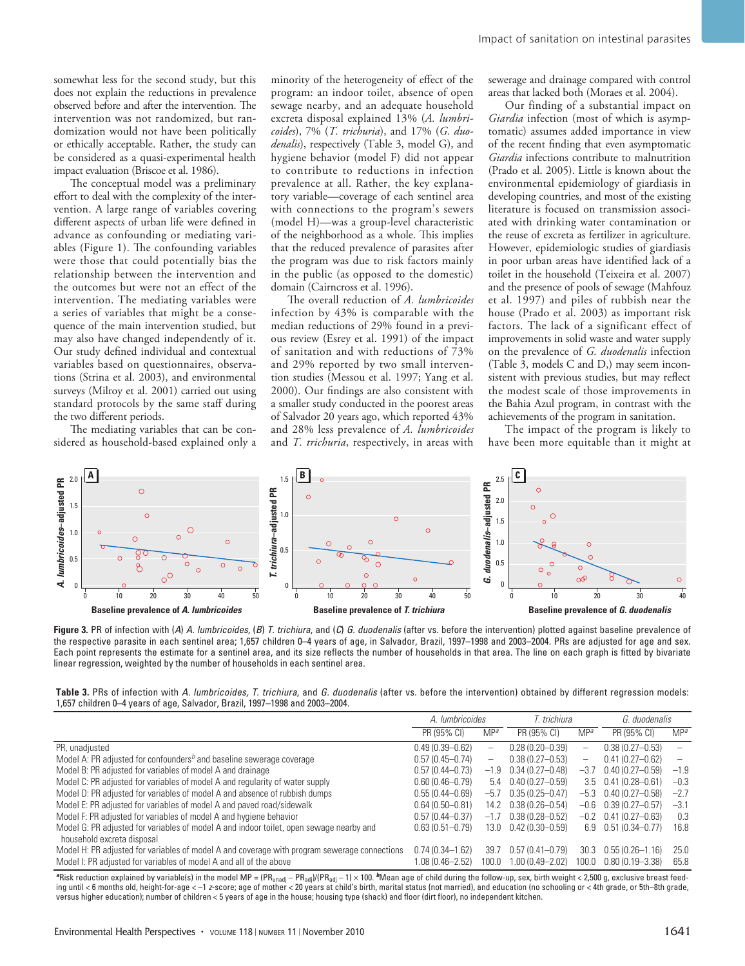somewhat less for the second study, but this does not explain the reductions in prevalence observed before and after the intervention. The intervention was not randomized, but randomization would not have been politically or ethically acceptable. Rather, the study can be considered as a quasi-experimental health impact evaluation (Briscoe et al. 1986).

The conceptual model was a preliminary effort to deal with the complexity of the intervention. A large range of variables covering different aspects of urban life were defined in advance as confounding or mediating variables (Figure 1). The confounding variables were those that could potentially bias the relationship between the intervention and the outcomes but were not an effect of the intervention. The mediating variables were a series of variables that might be a consequence of the main intervention studied, but may also have changed independently of it. Our study defined individual and contextual variables based on questionnaires, observations (Strina et al. 2003), and environmental surveys (Milroy et al. 2001) carried out using standard protocols by the same staff during the two different periods.

The mediating variables that can be considered as household-based explained only a minority of the heterogeneity of effect of the program: an indoor toilet, absence of open sewage nearby, and an adequate household excreta disposal explained 13% (*A. lumbricoides*), 7% (*T. trichuria*), and 17% (*G. duodenalis*), respectively (Table 3, model G), and hygiene behavior (model F) did not appear to contribute to reductions in infection prevalence at all. Rather, the key explanatory variable—coverage of each sentinel area with connections to the program's sewers (model H)—was a group-level characteristic of the neighborhood as a whole. This implies that the reduced prevalence of parasites after the program was due to risk factors mainly in the public (as opposed to the domestic) domain (Cairncross et al. 1996).

The overall reduction of *A. lumbricoides* infection by 43% is comparable with the median reductions of 29% found in a previous review (Esrey et al. 1991) of the impact of sanitation and with reductions of 73% and 29% reported by two small intervention studies (Messou et al. 1997; Yang et al. 2000). Our findings are also consistent with a smaller study conducted in the poorest areas of Salvador 20 years ago, which reported 43% and 28% less prevalence of *A. lumbricoides* and *T. trichuria*, respectively, in areas with sewerage and drainage compared with control areas that lacked both (Moraes et al. 2004).

Our finding of a substantial impact on *Giardia* infection (most of which is asymptomatic) assumes added importance in view of the recent finding that even asymptomatic *Giardia* infections contribute to malnutrition (Prado et al. 2005). Little is known about the environmental epidemiology of giardiasis in developing countries, and most of the existing literature is focused on transmission associated with drinking water contamination or the reuse of excreta as fertilizer in agriculture. However, epidemiologic studies of giardiasis in poor urban areas have identified lack of a toilet in the household (Teixeira et al. 2007) and the presence of pools of sewage (Mahfouz et al. 1997) and piles of rubbish near the house (Prado et al. 2003) as important risk factors. The lack of a significant effect of improvements in solid waste and water supply on the prevalence of *G. duodenalis* infection (Table 3, models C and D,) may seem inconsistent with previous studies, but may reflect the modest scale of those improvements in the Bahia Azul program, in contrast with the achievements of the program in sanitation.

The impact of the program is likely to have been more equitable than it might at



**Figure 3.** PR of infection with (*A*) *A. lumbricoides,* (*B*) *T. trichiura*, and (*C*) *G. duodenalis* (after vs. before the intervention) plotted against baseline prevalence of the respective parasite in each sentinel area; 1,657 children 0–4 years of age, in Salvador, Brazil, 1997–1998 and 2003–2004. PRs are adjusted for age and sex. Each point represents the estimate for a sentinel area, and its size reflects the number of households in that area. The line on each graph is fitted by bivariate linear regression, weighted by the number of households in each sentinel area.

**Table 3.** PRs of infection with *A. lumbricoides, T. trichiura*, and *G. duodenalis* (after vs. before the intervention) obtained by different regression models: 1,657 children 0–4 years of age, Salvador, Brazil, 1997–1998 and 2003–2004.

|                                                                                                                       | A. lumbricoides     |                          | T. trichiura                      |                   | G. duodenalis               |                          |
|-----------------------------------------------------------------------------------------------------------------------|---------------------|--------------------------|-----------------------------------|-------------------|-----------------------------|--------------------------|
|                                                                                                                       | PR (95% CI)         | MP <sup>a</sup>          | PR (95% CI)                       | MP <sup>a</sup>   | PR (95% CI)                 | MP <sup>a</sup>          |
| PR, unadjusted                                                                                                        | $0.49(0.39 - 0.62)$ | $\overline{\phantom{0}}$ | $0.28(0.20 - 0.39)$               |                   | $0.38(0.27 - 0.53)$         | $\overline{\phantom{a}}$ |
| Model A: PR adjusted for confounders <sup>b</sup> and baseline sewerage coverage                                      | $0.57(0.45 - 0.74)$ | -                        | $0.38(0.27 - 0.53)$               | $\qquad \qquad -$ | $0.41(0.27 - 0.62)$         | $\overline{\phantom{m}}$ |
| Model B: PR adjusted for variables of model A and drainage                                                            | $0.57(0.44 - 0.73)$ |                          | $-1.9$ 0.34 (0.27-0.48)           | $-3.7$            | $0.40(0.27 - 0.59)$         | $-1.9$                   |
| Model C: PR adjusted for variables of model A and regularity of water supply                                          | $0.60(0.46 - 0.79)$ |                          | $5.4$ 0.40 (0.27-0.59)            |                   | $3.5$ 0.41 (0.28-0.61)      | $-0.3$                   |
| Model D: PR adjusted for variables of model A and absence of rubbish dumps                                            | $0.55(0.44 - 0.69)$ | $-5.7$                   | $0.35(0.25 - 0.47)$               |                   | $-5.3$ 0.40 (0.27 $-0.58$ ) | $-2.7$                   |
| Model E: PR adjusted for variables of model A and paved road/sidewalk                                                 | $0.64(0.50 - 0.81)$ | 14.2                     | $0.38(0.26 - 0.54)$               | -0.6              | $0.39(0.27 - 0.57)$         | $-3.1$                   |
| Model F: PR adjusted for variables of model A and hygiene behavior                                                    | $0.57(0.44 - 0.37)$ | $-1.7$                   | $0.38(0.28 - 0.52)$               | $-0.2$            | $0.41(0.27 - 0.63)$         | 0.3                      |
| Model G: PR adjusted for variables of model A and indoor toilet, open sewage nearby and<br>household excreta disposal | $0.63(0.51 - 0.79)$ |                          | $13.0 \quad 0.42 \ (0.30 - 0.59)$ | 6.9               | $0.51(0.34 - 0.77)$         | 16.8                     |
| Model H: PR adjusted for variables of model A and coverage with program sewerage connections                          | $0.74(0.34 - 1.62)$ | 39.7                     | $0.57(0.41 - 0.79)$               | 30.3              | $0.55(0.26 - 1.16)$         | 25.0                     |
| Model I: PR adjusted for variables of model A and all of the above                                                    | $0.08(0.46 - 2.52)$ | 100.0                    | 1.00 (0.49-2.02)                  | 100.0             | $0.80(0.19 - 3.38)$         | 65.8                     |

<sup>a</sup>Risk reduction explained by variable(s) in the model MP = (PR<sub>unadj</sub> – PR<sub>adj</sub>)/(PR<sub>adj</sub> – 1) × 100. *b*Mean age of child during the follow-up, sex, birth weight < 2,500 g, exclusive breast feeding until <6 months old, height-for-age < -1 *z*-score; age of mother < 20 years at child's birth, marital status (not married), and education (no schooling or < 4th grade, or 5th-8th grade, versus higher education); number of children < 5 years of age in the house; housing type (shack) and floor (dirt floor), no independent kitchen.